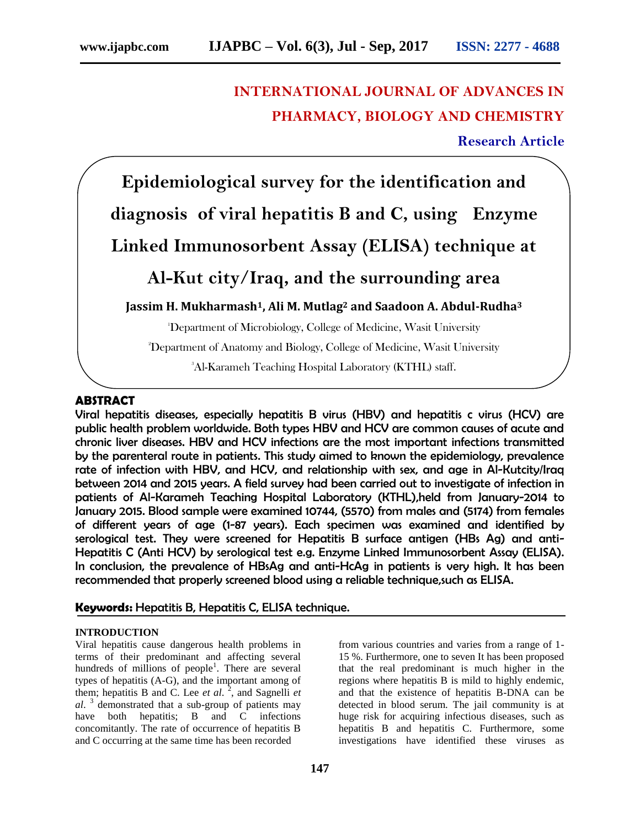# **INTERNATIONAL JOURNAL OF ADVANCES IN PHARMACY, BIOLOGY AND CHEMISTRY**

**Research Article**

**Epidemiological survey for the identification and diagnosis of viral hepatitis B and C, using Enzyme** 

# **Linked Immunosorbent Assay (ELISA) technique at**

# **Al-Kut city/Iraq, and the surrounding area**

**Jassim H. Mukharmash1, Ali M. Mutlag<sup>2</sup> and Saadoon A. Abdul-Rudha<sup>3</sup>**

<sup>1</sup>Department of Microbiology, College of Medicine, Wasit University

<sup>2</sup>Department of Anatomy and Biology, College of Medicine, Wasit University

<sup>3</sup>Al-Karameh Teaching Hospital Laboratory (KTHL) staff.

### **ABSTRACT**

Viral hepatitis diseases, especially hepatitis B virus (HBV) and hepatitis c virus (HCV) are public health problem worldwide. Both types HBV and HCV are common causes of acute and chronic liver diseases. HBV and HCV infections are the most important infections transmitted by the parenteral route in patients. This study aimed to known the epidemiology, prevalence rate of infection with HBV, and HCV, and relationship with sex, and age in Al-Kutcity/Iraq between 2014 and 2015 years. A field survey had been carried out to investigate of infection in patients of Al-Karameh Teaching Hospital Laboratory (KTHL),held from January-2014 to January 2015. Blood sample were examined 10744, (5570) from males and (5174) from females of different years of age (1-87 years). Each specimen was examined and identified by serological test. They were screened for Hepatitis B surface antigen (HBs Ag) and anti-Hepatitis C (Anti HCV) by serological test e.g. Enzyme Linked Immunosorbent Assay (ELISA). In conclusion, the prevalence of HBsAg and anti-HcAg in patients is very high. It has been recommended that properly screened blood using a reliable technique,such as ELISA.

## **Keywords:** Hepatitis B, Hepatitis C, ELISA technique.

#### **INTRODUCTION**

Viral hepatitis cause dangerous health problems in terms of their predominant and affecting several hundreds of millions of people<sup>1</sup>. There are several types of hepatitis (A-G), and the important among of them; hepatitis B and C. Lee *et al*. 2 , and Sagnelli *et al*. 3 demonstrated that a sub-group of patients may have both hepatitis; B and C infections concomitantly. The rate of occurrence of hepatitis B and C occurring at the same time has been recorded

from various countries and varies from a range of 1- 15 %. Furthermore, one to seven It has been proposed that the real predominant is much higher in the regions where hepatitis B is mild to highly endemic, and that the existence of hepatitis B-DNA can be detected in blood serum. The jail community is at huge risk for acquiring infectious diseases, such as hepatitis B and hepatitis C. Furthermore, some investigations have identified these viruses as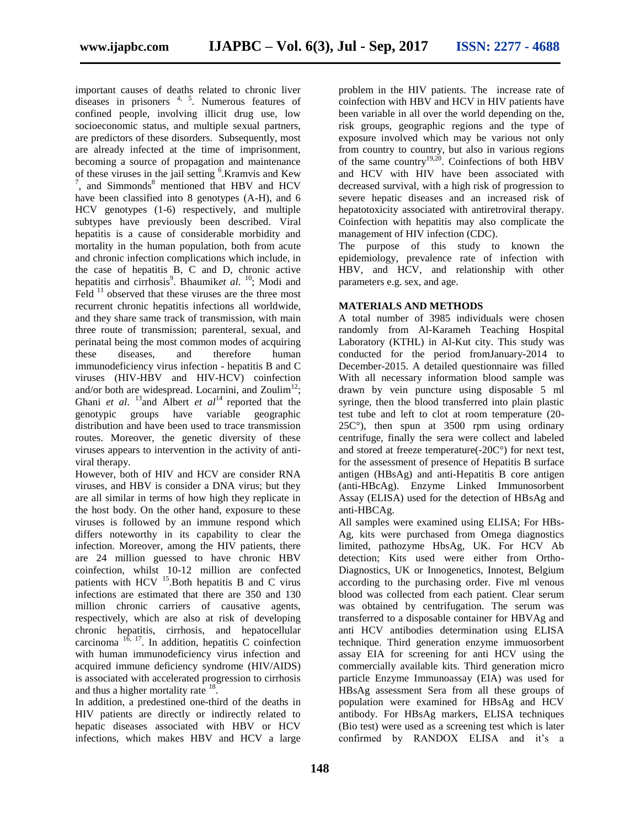important causes of deaths related to chronic liver diseases in prisoners 4, 5. Numerous features of confined people, involving illicit drug use, low socioeconomic status, and multiple sexual partners, are predictors of these disorders. Subsequently, most are already infected at the time of imprisonment, becoming a source of propagation and maintenance of these viruses in the jail setting <sup>6</sup>.Kramvis and Kew  $7$ , and Simmonds $8$  mentioned that HBV and HCV have been classified into 8 genotypes (A-H), and 6 HCV genotypes (1-6) respectively, and multiple subtypes have previously been described. Viral hepatitis is a cause of considerable morbidity and mortality in the human population, both from acute and chronic infection complications which include, in the case of hepatitis B, C and D, chronic active hepatitis and cirrhosis<sup>9</sup>. Bhaumiket al. <sup>10</sup>; Modi and Feld <sup>11</sup> observed that these viruses are the three most recurrent chronic hepatitis infections all worldwide, and they share same track of transmission, with main three route of transmission; parenteral, sexual, and perinatal being the most common modes of acquiring these diseases, and therefore human immunodeficiency virus infection - hepatitis B and C viruses (HIV-HBV and HIV-HCV) coinfection and/or both are widespread. Locarnini, and Zoulim<sup>12</sup>; Ghani *et al.* <sup>13</sup> and Albert *et al*<sup>14</sup> reported that the genotypic groups have variable geographic distribution and have been used to trace transmission routes. Moreover, the genetic diversity of these viruses appears to intervention in the activity of antiviral therapy.

However, both of HIV and HCV are consider RNA viruses, and HBV is consider a DNA virus; but they are all similar in terms of how high they replicate in the host body. On the other hand, exposure to these viruses is followed by an immune respond which differs noteworthy in its capability to clear the infection. Moreover, among the HIV patients, there are 24 million guessed to have chronic HBV coinfection, whilst 10-12 million are confected patients with HCV  $^{15}$ . Both hepatitis B and C virus infections are estimated that there are 350 and 130 million chronic carriers of causative agents, respectively, which are also at risk of developing chronic hepatitis, cirrhosis, and hepatocellular carcinoma  $16$ , 17. In addition, hepatitis C coinfection with human immunodeficiency virus infection and acquired immune deficiency syndrome (HIV/AIDS) is associated with accelerated progression to cirrhosis and thus a higher mortality rate <sup>18</sup>.

In addition, a predestined one-third of the deaths in HIV patients are directly or indirectly related to hepatic diseases associated with HBV or HCV infections, which makes HBV and HCV a large problem in the HIV patients. The increase rate of coinfection with HBV and HCV in HIV patients have been variable in all over the world depending on the, risk groups, geographic regions and the type of exposure involved which may be various not only from country to country, but also in various regions of the same country<sup>19,20</sup>. Coinfections of both HBV and HCV with HIV have been associated with decreased survival, with a high risk of progression to severe hepatic diseases and an increased risk of hepatotoxicity associated with antiretroviral therapy. Coinfection with hepatitis may also complicate the management of HIV infection (CDC).

The purpose of this study to known the epidemiology, prevalence rate of infection with HBV, and HCV, and relationship with other parameters e.g. sex, and age.

### **MATERIALS AND METHODS**

A total number of 3985 individuals were chosen randomly from Al-Karameh Teaching Hospital Laboratory (KTHL) in Al-Kut city. This study was conducted for the period fromJanuary-2014 to December-2015. A detailed questionnaire was filled With all necessary information blood sample was drawn by vein puncture using disposable 5 ml syringe, then the blood transferred into plain plastic test tube and left to clot at room temperature (20- 25C°), then spun at 3500 rpm using ordinary centrifuge, finally the sera were collect and labeled and stored at freeze temperature(-20C°) for next test, for the assessment of presence of Hepatitis B surface antigen (HBsAg) and anti-Hepatitis B core antigen (anti-HBcAg). Enzyme Linked Immunosorbent Assay (ELISA) used for the detection of HBsAg and anti-HBCAg.

All samples were examined using ELISA; For HBs-Ag, kits were purchased from Omega diagnostics limited, pathozyme HbsAg, UK. For HCV Ab detection; Kits used were either from Ortho-Diagnostics, UK or Innogenetics, Innotest, Belgium according to the purchasing order. Five ml venous blood was collected from each patient. Clear serum was obtained by centrifugation. The serum was transferred to a disposable container for HBVAg and anti HCV antibodies determination using ELISA technique. Third generation enzyme immuosorbent assay EIA for screening for anti HCV using the commercially available kits. Third generation micro particle Enzyme Immunoassay (EIA) was used for HBsAg assessment Sera from all these groups of population were examined for HBsAg and HCV antibody. For HBsAg markers, ELISA techniques (Bio test) were used as a screening test which is later confirmed by RANDOX ELISA and it's a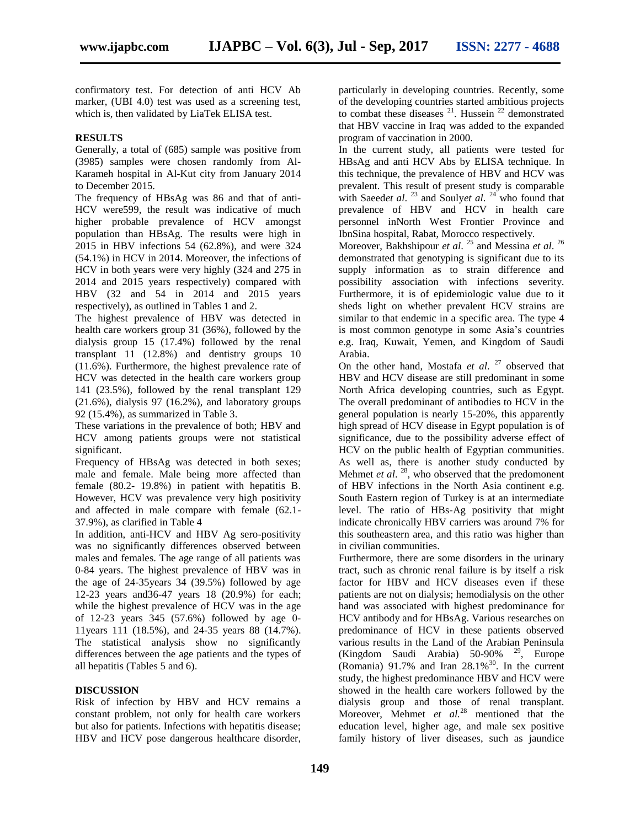confirmatory test. For detection of anti HCV Ab marker, (UBI 4.0) test was used as a screening test, which is, then validated by LiaTek ELISA test.

#### **RESULTS**

Generally, a total of (685) sample was positive from (3985) samples were chosen randomly from Al-Karameh hospital in Al-Kut city from January 2014 to December 2015.

The frequency of HBsAg was 86 and that of anti-HCV were599, the result was indicative of much higher probable prevalence of HCV amongst population than HBsAg. The results were high in 2015 in HBV infections 54 (62.8%), and were 324 (54.1%) in HCV in 2014. Moreover, the infections of HCV in both years were very highly (324 and 275 in 2014 and 2015 years respectively) compared with HBV (32 and 54 in 2014 and 2015 years respectively), as outlined in Tables 1 and 2.

The highest prevalence of HBV was detected in health care workers group 31 (36%), followed by the dialysis group 15 (17.4%) followed by the renal transplant 11 (12.8%) and dentistry groups 10 (11.6%). Furthermore, the highest prevalence rate of HCV was detected in the health care workers group 141 (23.5%), followed by the renal transplant 129  $(21.6\%)$ , dialysis 97 (16.2%), and laboratory groups 92 (15.4%), as summarized in Table 3.

These variations in the prevalence of both; HBV and HCV among patients groups were not statistical significant.

Frequency of HBsAg was detected in both sexes; male and female. Male being more affected than female (80.2- 19.8%) in patient with hepatitis B. However, HCV was prevalence very high positivity and affected in male compare with female (62.1- 37.9%), as clarified in Table 4

In addition, anti-HCV and HBV Ag sero-positivity was no significantly differences observed between males and females. The age range of all patients was 0-84 years. The highest prevalence of HBV was in the age of 24-35years 34 (39.5%) followed by age 12-23 years and36-47 years 18 (20.9%) for each; while the highest prevalence of HCV was in the age of 12-23 years 345 (57.6%) followed by age 0- 11years 111 (18.5%), and 24-35 years 88 (14.7%). The statistical analysis show no significantly differences between the age patients and the types of all hepatitis (Tables 5 and 6).

### **DISCUSSION**

Risk of infection by HBV and HCV remains a constant problem, not only for health care workers but also for patients. Infections with hepatitis disease; HBV and HCV pose dangerous healthcare disorder, particularly in developing countries. Recently, some of the developing countries started ambitious projects to combat these diseases  $^{21}$ . Hussein  $^{22}$  demonstrated that HBV vaccine in Iraq was added to the expanded program of vaccination in 2000.

In the current study, all patients were tested for HBsAg and anti HCV Abs by ELISA technique. In this technique, the prevalence of HBV and HCV was prevalent. This result of present study is comparable with Saeed*et al.* <sup>23</sup> and Souly*et al.* <sup>24</sup> who found that prevalence of HBV and HCV in health care personnel inNorth West Frontier Province and IbnSina hospital, Rabat, Morocco respectively.

Moreover, Bakhshipour *et al.* <sup>25</sup> and Messina *et al.* <sup>26</sup> demonstrated that genotyping is significant due to its supply information as to strain difference and possibility association with infections severity. Furthermore, it is of epidemiologic value due to it sheds light on whether prevalent HCV strains are similar to that endemic in a specific area. The type 4 is most common genotype in some Asia's countries e.g. Iraq, Kuwait, Yemen, and Kingdom of Saudi Arabia.

On the other hand, Mostafa *et al*. 27 observed that HBV and HCV disease are still predominant in some North Africa developing countries, such as Egypt. The overall predominant of antibodies to HCV in the general population is nearly 15-20%, this apparently high spread of HCV disease in Egypt population is of significance, due to the possibility adverse effect of HCV on the public health of Egyptian communities. As well as, there is another study conducted by Mehmet *et al.* <sup>28</sup>, who observed that the predomonent of HBV infections in the North Asia continent e.g. South Eastern region of Turkey is at an intermediate level. The ratio of HBs-Ag positivity that might indicate chronically HBV carriers was around 7% for this southeastern area, and this ratio was higher than in civilian communities.

Furthermore, there are some disorders in the urinary tract, such as chronic renal failure is by itself a risk factor for HBV and HCV diseases even if these patients are not on dialysis; hemodialysis on the other hand was associated with highest predominance for HCV antibody and for HBsAg. Various researches on predominance of HCV in these patients observed various results in the Land of the Arabian Peninsula (Kingdom Saudi Arabia)  $50-90\%$  <sup>29</sup>, Europe (Romania)  $91.7\%$  and Iran  $28.1\%$ <sup>30</sup>. In the current study, the highest predominance HBV and HCV were showed in the health care workers followed by the dialysis group and those of renal transplant. Moreover, Mehmet *et al.*<sup>28</sup> mentioned that the education level, higher age, and male sex positive family history of liver diseases, such as jaundice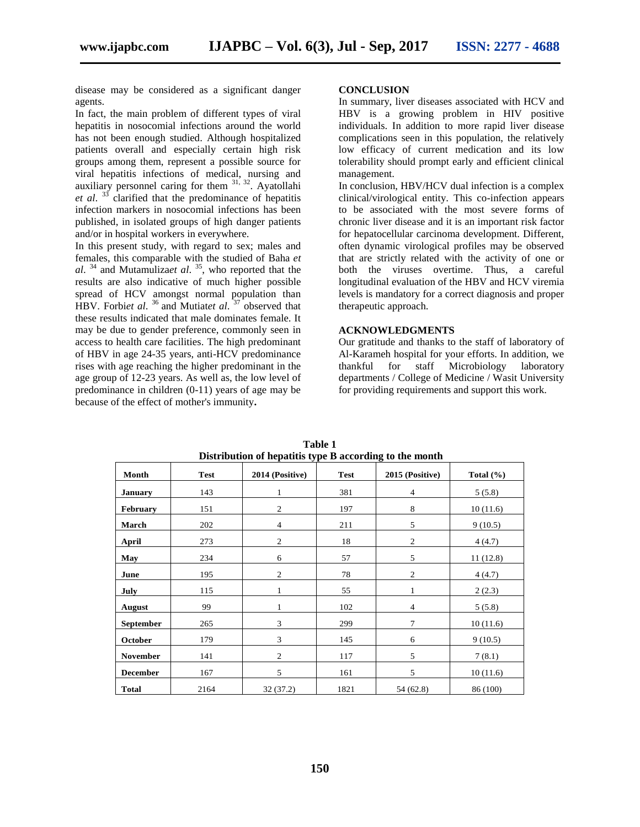disease may be considered as a significant danger agents.

In fact, the main problem of different types of viral hepatitis in nosocomial infections around the world has not been enough studied. Although hospitalized patients overall and especially certain high risk groups among them, represent a possible source for viral hepatitis infections of medical, nursing and auxiliary personnel caring for them  $31, 32$ . Ayatollahi *et al*. 33 clarified that the predominance of hepatitis infection markers in nosocomial infections has been published, in isolated groups of high danger patients and/or in hospital workers in everywhere.

In this present study, with regard to sex; males and females, this comparable with the studied of Baha *et al*. 34 and Mutamuliza*et al*. 35 , who reported that the results are also indicative of much higher possible spread of HCV amongst normal population than HBV. Forbi*et al*. 36 and Mutiat*et al*. 37 observed that these results indicated that male dominates female. It may be due to gender preference, commonly seen in access to health care facilities. The high predominant of HBV in age 24-35 years, anti-HCV predominance rises with age reaching the higher predominant in the age group of 12-23 years. As well as, the low level of predominance in children (0-11) years of age may be because of the effect of mother's immunity**.**

#### **CONCLUSION**

In summary, liver diseases associated with HCV and HBV is a growing problem in HIV positive individuals. In addition to more rapid liver disease complications seen in this population, the relatively low efficacy of current medication and its low tolerability should prompt early and efficient clinical management.

In conclusion, HBV/HCV dual infection is a complex clinical/virological entity. This co-infection appears to be associated with the most severe forms of chronic liver disease and it is an important risk factor for hepatocellular carcinoma development. Different, often dynamic virological profiles may be observed that are strictly related with the activity of one or both the viruses overtime. Thus, a careful longitudinal evaluation of the HBV and HCV viremia levels is mandatory for a correct diagnosis and proper therapeutic approach.

#### **ACKNOWLEDGMENTS**

Our gratitude and thanks to the staff of laboratory of Al-Karameh hospital for your efforts. In addition, we thankful for staff Microbiology laboratory departments / College of Medicine / Wasit University for providing requirements and support this work.

| Month            | <b>Test</b> | 2014 (Positive) | <b>Test</b> | 2015 (Positive) | Total $(\% )$ |
|------------------|-------------|-----------------|-------------|-----------------|---------------|
| <b>January</b>   | 143         | $\mathbf{1}$    | 381         | $\overline{4}$  | 5(5.8)        |
| February         | 151         | 2               | 197         | $\,$ 8 $\,$     | 10(11.6)      |
| March            | 202         | 4               | 211         | 5               | 9(10.5)       |
| April            | 273         | 2               | 18          | $\mathfrak{2}$  | 4(4.7)        |
| May              | 234         | 6               | 57          | 5               | 11(12.8)      |
| June             | 195         | $\overline{c}$  | 78          | $\mathfrak{2}$  | 4(4.7)        |
| July             | 115         | 1               | 55          | $\mathbf{1}$    | 2(2.3)        |
| August           | 99          | 1               | 102         | $\overline{4}$  | 5(5.8)        |
| <b>September</b> | 265         | 3               | 299         | $\tau$          | 10(11.6)      |
| October          | 179         | 3               | 145         | 6               | 9(10.5)       |
| <b>November</b>  | 141         | 2               | 117         | 5               | 7(8.1)        |
| <b>December</b>  | 167         | 5               | 161         | 5               | 10(11.6)      |
| <b>Total</b>     | 2164        | 32(37.2)        | 1821        | 54 (62.8)       | 86 (100)      |

**Table 1 Distribution of hepatitis type B according to the month**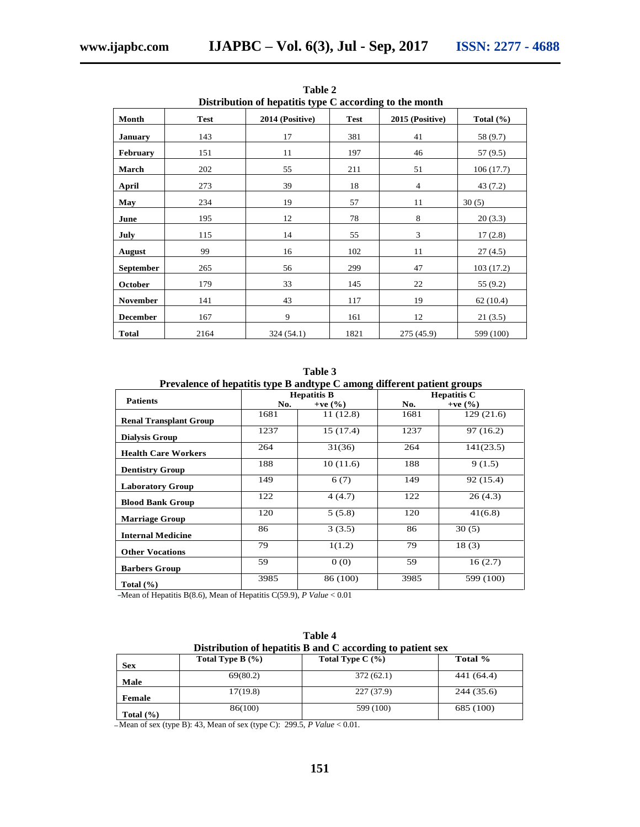| Distribution of hepatitis type C according to the month |             |                 |             |                 |               |
|---------------------------------------------------------|-------------|-----------------|-------------|-----------------|---------------|
| Month                                                   | <b>Test</b> | 2014 (Positive) | <b>Test</b> | 2015 (Positive) | Total $(\% )$ |
| <b>January</b>                                          | 143         | 17              | 381         | 41              | 58 (9.7)      |
| <b>February</b>                                         | 151         | 11              | 197         | 46              | 57 (9.5)      |
| March                                                   | 202         | 55              | 211         | 51              | 106(17.7)     |
| April                                                   | 273         | 39              | 18          | 4               | 43 (7.2)      |
| May                                                     | 234         | 19              | 57          | 11              | 30(5)         |
| June                                                    | 195         | 12              | 78          | 8               | 20(3.3)       |
| July                                                    | 115         | 14              | 55          | 3               | 17(2.8)       |
| August                                                  | 99          | 16              | 102         | 11              | 27(4.5)       |
| September                                               | 265         | 56              | 299         | 47              | 103(17.2)     |
| October                                                 | 179         | 33              | 145         | 22              | 55(9.2)       |
| <b>November</b>                                         | 141         | 43              | 117         | 19              | 62(10.4)      |
| <b>December</b>                                         | 167         | 9               | 161         | 12              | 21(3.5)       |
| <b>Total</b>                                            | 2164        | 324 (54.1)      | 1821        | 275 (45.9)      | 599 (100)     |

**Table 2**

**Table 3**

| Prevalence of hepatitis type B and type C among different patient groups |  |  |
|--------------------------------------------------------------------------|--|--|
|                                                                          |  |  |

|                               | -<br><b>Hepatitis B</b> |             | -<br><b>Hepatitis C</b> |             |
|-------------------------------|-------------------------|-------------|-------------------------|-------------|
| <b>Patients</b>               | No.                     | +ve $(\% )$ | No.                     | +ve $(\% )$ |
| <b>Renal Transplant Group</b> | 1681                    | 11 (12.8)   | 1681                    | 129(21.6)   |
| <b>Dialysis Group</b>         | 1237                    | 15(17.4)    | 1237                    | 97(16.2)    |
| <b>Health Care Workers</b>    | 264                     | 31(36)      | 264                     | 141(23.5)   |
| <b>Dentistry Group</b>        | 188                     | 10(11.6)    | 188                     | 9(1.5)      |
| <b>Laboratory Group</b>       | 149                     | 6(7)        | 149                     | 92 (15.4)   |
| <b>Blood Bank Group</b>       | 122                     | 4(4.7)      | 122                     | 26(4.3)     |
| <b>Marriage Group</b>         | 120                     | 5(5.8)      | 120                     | 41(6.8)     |
| <b>Internal Medicine</b>      | 86                      | 3(3.5)      | 86                      | 30(5)       |
| <b>Other Vocations</b>        | 79                      | 1(1.2)      | 79                      | 18(3)       |
| <b>Barbers Group</b>          | 59                      | 0(0)        | 59                      | 16(2.7)     |
| Total $(\% )$                 | 3985                    | 86 (100)    | 3985                    | 599 (100)   |

Mean of Hepatitis B(8.6), Mean of Hepatitis C(59.9), *P Value* < 0.01

| Distribution of hepatitis B and C according to patient sex |                      |                  |            |  |  |
|------------------------------------------------------------|----------------------|------------------|------------|--|--|
| Sex                                                        | Total Type B $(\% )$ | Total Type $C(%$ | Total %    |  |  |
| Male                                                       | 69(80.2)             | 372(62.1)        | 441 (64.4) |  |  |
| Female                                                     | 17(19.8)             | 227 (37.9)       | 244 (35.6) |  |  |
| Total $(\% )$                                              | 86(100)              | 599 (100)        | 685 (100)  |  |  |

**Table 4**

Mean of sex (type B): 43, Mean of sex (type C): 299.5, *P Value* < 0.01.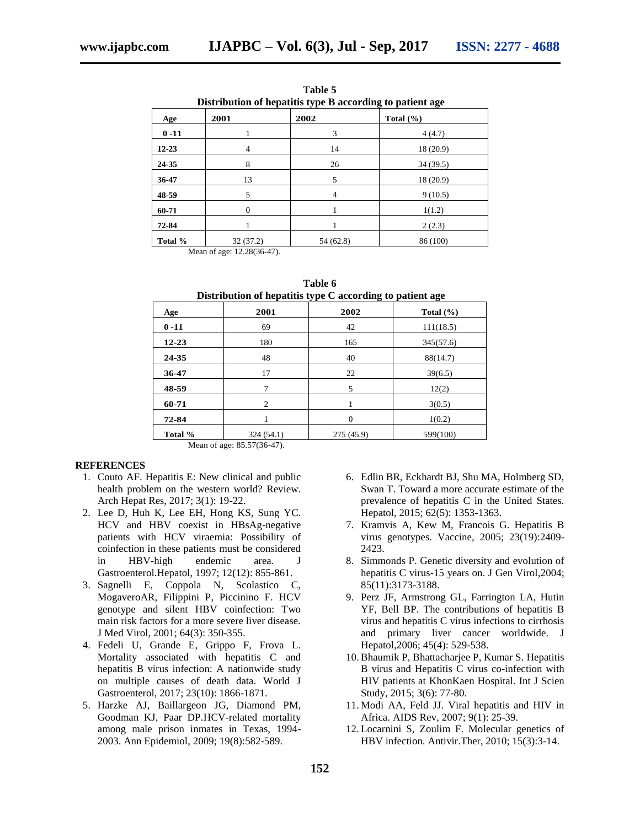| Distribution of hepatitis type B according to patient age |          |                |               |  |  |
|-----------------------------------------------------------|----------|----------------|---------------|--|--|
| Age                                                       | 2001     | 2002           | Total $(\% )$ |  |  |
| $0 - 11$                                                  |          | 3              | 4(4.7)        |  |  |
| $12 - 23$                                                 | 4        | 14             | 18 (20.9)     |  |  |
| 24-35                                                     | 8        | 26             | 34(39.5)      |  |  |
| 36-47                                                     | 13       | 5              | 18 (20.9)     |  |  |
| 48-59                                                     | 5        | $\overline{4}$ | 9(10.5)       |  |  |
| 60-71                                                     | $\Omega$ |                | 1(1.2)        |  |  |
| 72-84                                                     |          |                | 2(2.3)        |  |  |
| Total %                                                   | 32(37.2) | 54(62.8)       | 86 (100)      |  |  |

**Table 5**

Mean of age: 12.28(36-47).

Mean of age: 85.57(36-47).

| Distribution of hepatitis type C according to patient age |               |            |               |  |
|-----------------------------------------------------------|---------------|------------|---------------|--|
| Age                                                       | 2001          | 2002       | Total $(\% )$ |  |
| $0 - 11$                                                  | 69            | 42         | 111(18.5)     |  |
| $12 - 23$                                                 | 180           | 165        | 345(57.6)     |  |
| 24-35                                                     | 48            | 40         | 88(14.7)      |  |
| 36-47                                                     | 17            | 22         | 39(6.5)       |  |
| 48-59                                                     | 7             | 5          | 12(2)         |  |
| 60-71                                                     | $\mathcal{L}$ |            | 3(0.5)        |  |
| 72-84                                                     |               | 0          | 1(0.2)        |  |
| Total %                                                   | 324 (54.1)    | 275 (45.9) | 599(100)      |  |

**Table 6**

#### **REFERENCES**

- 1. Couto AF. Hepatitis E: New clinical and public health problem on the western world? Review. Arch Hepat Res, 2017; 3(1): 19-22.
- 2. Lee D, Huh K, Lee EH, Hong KS, Sung YC. HCV and HBV coexist in HBsAg-negative patients with HCV viraemia: Possibility of coinfection in these patients must be considered in HBV-high endemic area. J Gastroenterol.Hepatol, 1997; 12(12): 855-861.
- 3. Sagnelli E, Coppola N, Scolastico C, MogaveroAR, Filippini P, Piccinino F. HCV genotype and silent HBV coinfection: Two main risk factors for a more severe liver disease. J Med Virol, 2001; 64(3): 350-355.
- 4. Fedeli U, Grande E, Grippo F, Frova L. Mortality associated with hepatitis C and hepatitis B virus infection: A nationwide study on multiple causes of death data. World J Gastroenterol, 2017; 23(10): 1866-1871.
- 5. Harzke AJ, Baillargeon JG, Diamond PM, Goodman KJ, Paar DP.HCV-related mortality among male prison inmates in Texas, 1994- 2003. Ann Epidemiol, 2009; 19(8):582-589.
- 6. Edlin BR, Eckhardt BJ, Shu MA, Holmberg SD, Swan T. Toward a more accurate estimate of the prevalence of hepatitis C in the United States. Hepatol, 2015; 62(5): 1353-1363.
- 7. Kramvis A, Kew M, Francois G. Hepatitis B virus genotypes. Vaccine, 2005; 23(19):2409- 2423.
- 8. Simmonds P. Genetic diversity and evolution of hepatitis C virus-15 years on. J Gen Virol,2004; 85(11):3173-3188.
- 9. Perz JF, Armstrong GL, Farrington LA, Hutin YF, Bell BP. The contributions of hepatitis B virus and hepatitis C virus infections to cirrhosis and primary liver cancer worldwide. J Hepatol,2006; 45(4): 529-538.
- 10. Bhaumik P, Bhattacharjee P, Kumar S. Hepatitis B virus and Hepatitis C virus co-infection with HIV patients at KhonKaen Hospital. Int J Scien Study, 2015; 3(6): 77-80.
- 11. Modi AA, Feld JJ. Viral hepatitis and HIV in Africa. AIDS Rev, 2007; 9(1): 25-39.
- 12. Locarnini S, Zoulim F. Molecular genetics of HBV infection. Antivir.Ther, 2010; 15(3):3-14.